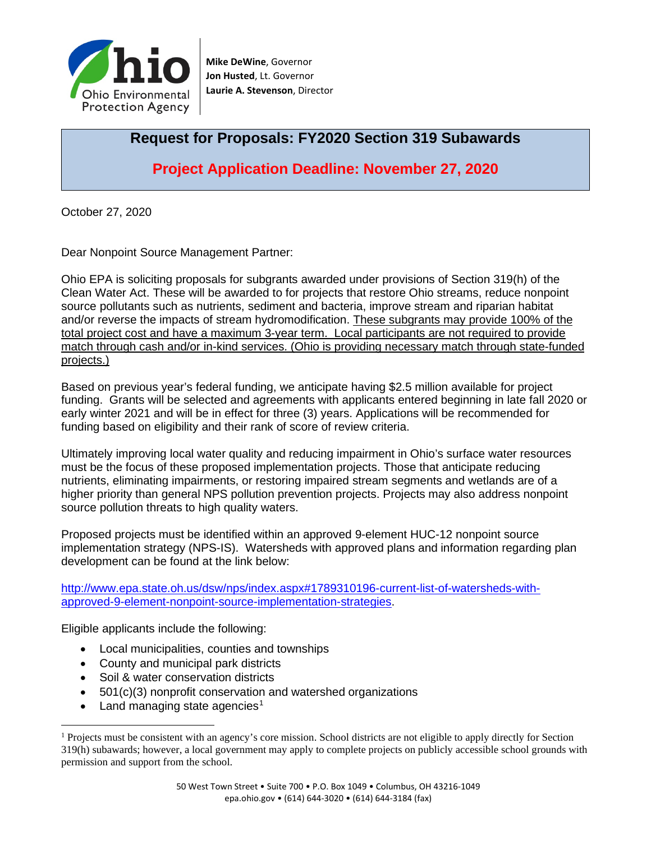

**Mike DeWine**, Governor **Jon Husted**, Lt. Governor **Laurie A. Stevenson**, Director

# **Request for Proposals: FY2020 Section 319 Subawards**

**Project Application Deadline: November 27, 2020**

October 27, 2020

Dear Nonpoint Source Management Partner:

Ohio EPA is soliciting proposals for subgrants awarded under provisions of Section 319(h) of the Clean Water Act. These will be awarded to for projects that restore Ohio streams, reduce nonpoint source pollutants such as nutrients, sediment and bacteria, improve stream and riparian habitat and/or reverse the impacts of stream hydromodification. These subgrants may provide 100% of the total project cost and have a maximum 3-year term. Local participants are not required to provide match through cash and/or in-kind services. (Ohio is providing necessary match through state-funded projects.)

Based on previous year's federal funding, we anticipate having \$2.5 million available for project funding. Grants will be selected and agreements with applicants entered beginning in late fall 2020 or early winter 2021 and will be in effect for three (3) years. Applications will be recommended for funding based on eligibility and their rank of score of review criteria.

Ultimately improving local water quality and reducing impairment in Ohio's surface water resources must be the focus of these proposed implementation projects. Those that anticipate reducing nutrients, eliminating impairments, or restoring impaired stream segments and wetlands are of a higher priority than general NPS pollution prevention projects. Projects may also address nonpoint source pollution threats to high quality waters.

Proposed projects must be identified within an approved 9-element HUC-12 nonpoint source implementation strategy (NPS-IS). Watersheds with approved plans and information regarding plan development can be found at the link below:

[http://www.epa.state.oh.us/dsw/nps/index.aspx#1789310196-current-list-of-watersheds-with](http://www.epa.state.oh.us/dsw/nps/index.aspx#1789310196-current-list-of-watersheds-with-approved-9-element-nonpoint-source-implementation-strategies)[approved-9-element-nonpoint-source-implementation-strategies.](http://www.epa.state.oh.us/dsw/nps/index.aspx#1789310196-current-list-of-watersheds-with-approved-9-element-nonpoint-source-implementation-strategies)

Eligible applicants include the following:

- Local municipalities, counties and townships
- County and municipal park districts
- Soil & water conservation districts
- 501(c)(3) nonprofit conservation and watershed organizations
- Land managing state agencies<sup>[1](#page-0-0)</sup>

<span id="page-0-0"></span><sup>&</sup>lt;sup>1</sup> Projects must be consistent with an agency's core mission. School districts are not eligible to apply directly for Section 319(h) subawards; however, a local government may apply to complete projects on publicly accessible school grounds with permission and support from the school.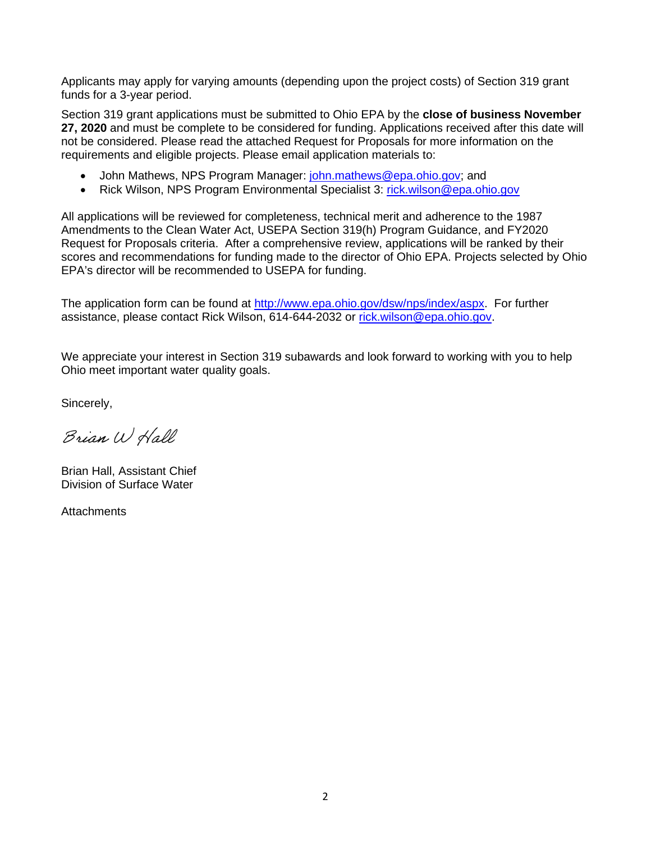Applicants may apply for varying amounts (depending upon the project costs) of Section 319 grant funds for a 3-year period.

Section 319 grant applications must be submitted to Ohio EPA by the **close of business November 27, 2020** and must be complete to be considered for funding. Applications received after this date will not be considered. Please read the attached Request for Proposals for more information on the requirements and eligible projects. Please email application materials to:

- John Mathews, NPS Program Manager: [john.mathews@epa.ohio.gov;](mailto:john.mathews@epa.ohio.gov) and
- Rick Wilson, NPS Program Environmental Specialist 3: [rick.wilson@epa.ohio.gov](mailto:rick.wilson@epa.ohio.gov)

All applications will be reviewed for completeness, technical merit and adherence to the 1987 Amendments to the Clean Water Act, USEPA Section 319(h) Program Guidance, and FY2020 Request for Proposals criteria. After a comprehensive review, applications will be ranked by their scores and recommendations for funding made to the director of Ohio EPA. Projects selected by Ohio EPA's director will be recommended to USEPA for funding.

The application form can be found at [http://www.epa.ohio.gov/dsw/nps/index/aspx.](http://www.epa.ohio.gov/dsw/nps/index/aspx) For further assistance, please contact Rick Wilson, 614-644-2032 or [rick.wilson@epa.ohio.gov.](mailto:rick.wilson@epa.ohio.gov)

We appreciate your interest in Section 319 subawards and look forward to working with you to help Ohio meet important water quality goals.

Sincerely,

Brian W Hall

Brian Hall, Assistant Chief Division of Surface Water

**Attachments**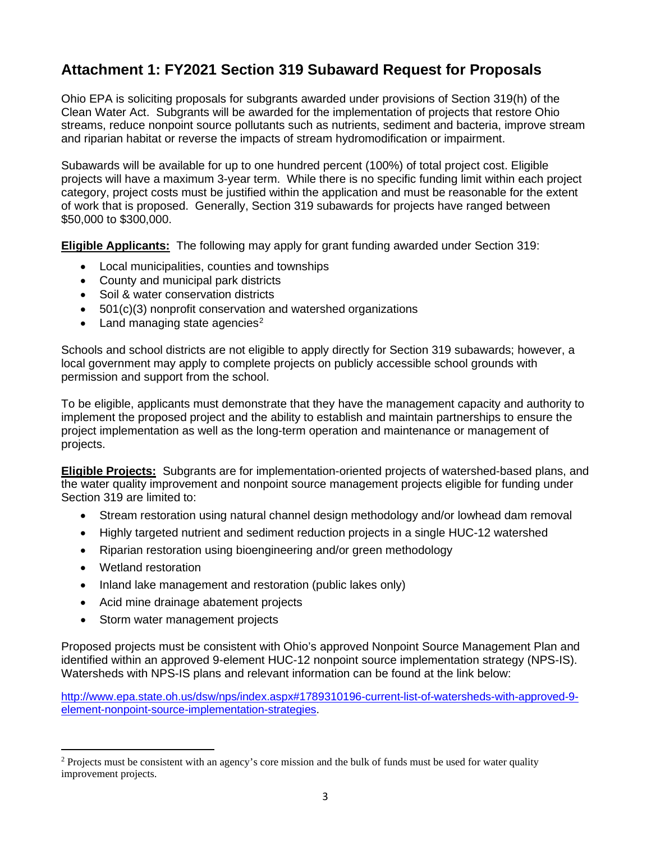# **Attachment 1: FY2021 Section 319 Subaward Request for Proposals**

Ohio EPA is soliciting proposals for subgrants awarded under provisions of Section 319(h) of the Clean Water Act. Subgrants will be awarded for the implementation of projects that restore Ohio streams, reduce nonpoint source pollutants such as nutrients, sediment and bacteria, improve stream and riparian habitat or reverse the impacts of stream hydromodification or impairment.

Subawards will be available for up to one hundred percent (100%) of total project cost. Eligible projects will have a maximum 3-year term. While there is no specific funding limit within each project category, project costs must be justified within the application and must be reasonable for the extent of work that is proposed. Generally, Section 319 subawards for projects have ranged between \$50,000 to \$300,000.

**Eligible Applicants:** The following may apply for grant funding awarded under Section 319:

- Local municipalities, counties and townships
- County and municipal park districts
- Soil & water conservation districts
- 501(c)(3) nonprofit conservation and watershed organizations
- Land managing state agencies<sup>[2](#page-2-0)</sup>

Schools and school districts are not eligible to apply directly for Section 319 subawards; however, a local government may apply to complete projects on publicly accessible school grounds with permission and support from the school.

To be eligible, applicants must demonstrate that they have the management capacity and authority to implement the proposed project and the ability to establish and maintain partnerships to ensure the project implementation as well as the long-term operation and maintenance or management of projects.

**Eligible Projects:** Subgrants are for implementation-oriented projects of watershed-based plans, and the water quality improvement and nonpoint source management projects eligible for funding under Section 319 are limited to:

- Stream restoration using natural channel design methodology and/or lowhead dam removal
- Highly targeted nutrient and sediment reduction projects in a single HUC-12 watershed
- Riparian restoration using bioengineering and/or green methodology
- Wetland restoration
- Inland lake management and restoration (public lakes only)
- Acid mine drainage abatement projects
- Storm water management projects

Proposed projects must be consistent with Ohio's approved Nonpoint Source Management Plan and identified within an approved 9-element HUC-12 nonpoint source implementation strategy (NPS-IS). Watersheds with NPS-IS plans and relevant information can be found at the link below:

[http://www.epa.state.oh.us/dsw/nps/index.aspx#1789310196-current-list-of-watersheds-with-approved-9](http://www.epa.state.oh.us/dsw/nps/index.aspx#1789310196-current-list-of-watersheds-with-approved-9-element-nonpoint-source-implementation-strategies) [element-nonpoint-source-implementation-strategies.](http://www.epa.state.oh.us/dsw/nps/index.aspx#1789310196-current-list-of-watersheds-with-approved-9-element-nonpoint-source-implementation-strategies)

<span id="page-2-0"></span><sup>&</sup>lt;sup>2</sup> Projects must be consistent with an agency's core mission and the bulk of funds must be used for water quality improvement projects.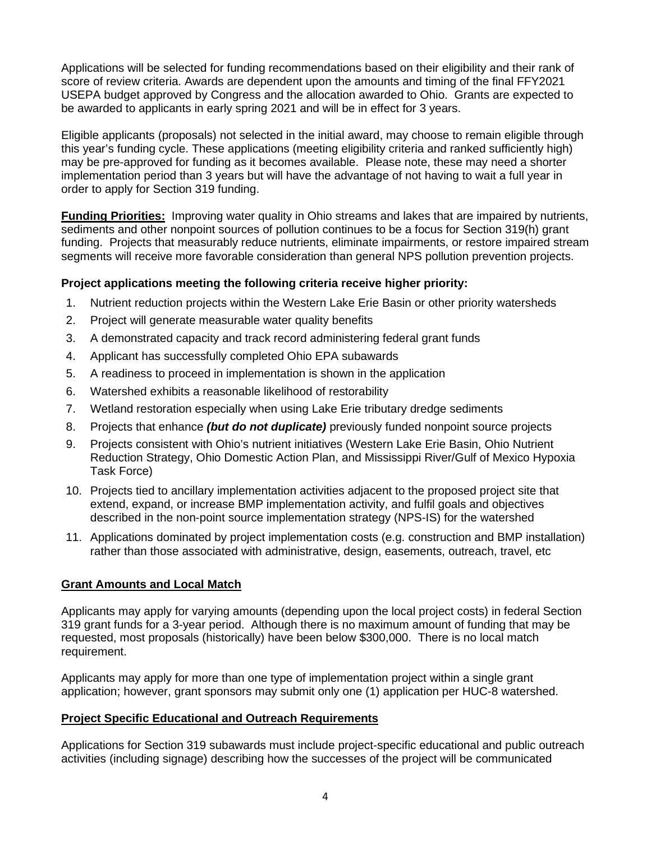Applications will be selected for funding recommendations based on their eligibility and their rank of score of review criteria. Awards are dependent upon the amounts and timing of the final FFY2021 USEPA budget approved by Congress and the allocation awarded to Ohio. Grants are expected to be awarded to applicants in early spring 2021 and will be in effect for 3 years.

Eligible applicants (proposals) not selected in the initial award, may choose to remain eligible through this year's funding cycle. These applications (meeting eligibility criteria and ranked sufficiently high) may be pre-approved for funding as it becomes available. Please note, these may need a shorter implementation period than 3 years but will have the advantage of not having to wait a full year in order to apply for Section 319 funding.

**Funding Priorities:** Improving water quality in Ohio streams and lakes that are impaired by nutrients, sediments and other nonpoint sources of pollution continues to be a focus for Section 319(h) grant funding. Projects that measurably reduce nutrients, eliminate impairments, or restore impaired stream segments will receive more favorable consideration than general NPS pollution prevention projects.

### **Project applications meeting the following criteria receive higher priority:**

- 1. Nutrient reduction projects within the Western Lake Erie Basin or other priority watersheds
- 2. Project will generate measurable water quality benefits
- 3. A demonstrated capacity and track record administering federal grant funds
- 4. Applicant has successfully completed Ohio EPA subawards
- 5. A readiness to proceed in implementation is shown in the application
- 6. Watershed exhibits a reasonable likelihood of restorability
- 7. Wetland restoration especially when using Lake Erie tributary dredge sediments
- 8. Projects that enhance *(but do not duplicate)* previously funded nonpoint source projects
- 9. Projects consistent with Ohio's nutrient initiatives (Western Lake Erie Basin, Ohio Nutrient Reduction Strategy, Ohio Domestic Action Plan, and Mississippi River/Gulf of Mexico Hypoxia Task Force)
- 10. Projects tied to ancillary implementation activities adjacent to the proposed project site that extend, expand, or increase BMP implementation activity, and fulfil goals and objectives described in the non-point source implementation strategy (NPS-IS) for the watershed
- 11. Applications dominated by project implementation costs (e.g. construction and BMP installation) rather than those associated with administrative, design, easements, outreach, travel, etc

#### **Grant Amounts and Local Match**

Applicants may apply for varying amounts (depending upon the local project costs) in federal Section 319 grant funds for a 3-year period. Although there is no maximum amount of funding that may be requested, most proposals (historically) have been below \$300,000. There is no local match requirement.

Applicants may apply for more than one type of implementation project within a single grant application; however, grant sponsors may submit only one (1) application per HUC-8 watershed.

#### **Project Specific Educational and Outreach Requirements**

Applications for Section 319 subawards must include project-specific educational and public outreach activities (including signage) describing how the successes of the project will be communicated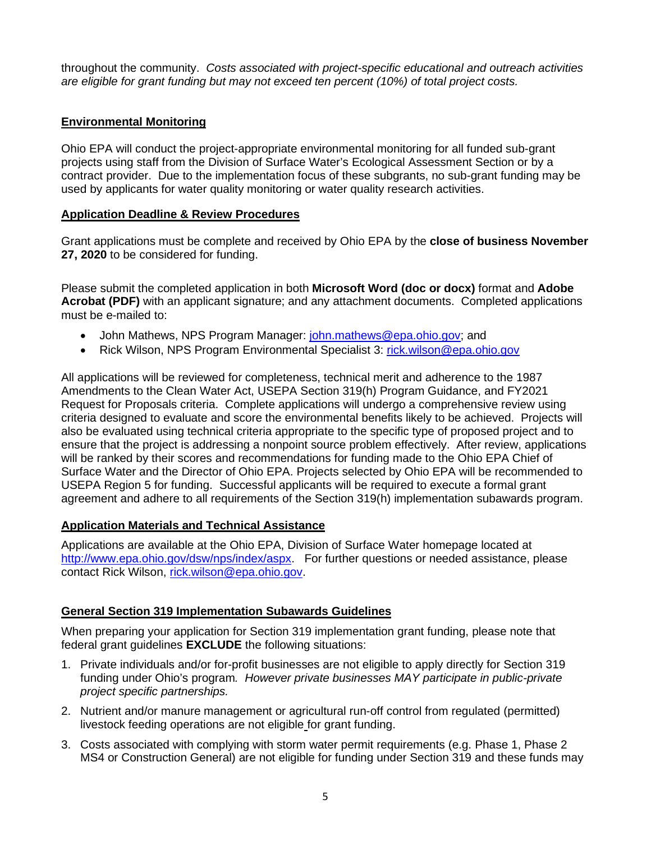throughout the community. *Costs associated with project-specific educational and outreach activities are eligible for grant funding but may not exceed ten percent (10%) of total project costs.*

# **Environmental Monitoring**

Ohio EPA will conduct the project-appropriate environmental monitoring for all funded sub-grant projects using staff from the Division of Surface Water's Ecological Assessment Section or by a contract provider. Due to the implementation focus of these subgrants, no sub-grant funding may be used by applicants for water quality monitoring or water quality research activities.

# **Application Deadline & Review Procedures**

Grant applications must be complete and received by Ohio EPA by the **close of business November 27, 2020** to be considered for funding.

Please submit the completed application in both **Microsoft Word (doc or docx)** format and **Adobe Acrobat (PDF)** with an applicant signature; and any attachment documents. Completed applications must be e-mailed to:

- John Mathews, NPS Program Manager: [john.mathews@epa.ohio.gov;](mailto:john.mathews@epa.ohio.gov) and
- Rick Wilson, NPS Program Environmental Specialist 3: [rick.wilson@epa.ohio.gov](mailto:rick.wilson@epa.ohio.gov)

All applications will be reviewed for completeness, technical merit and adherence to the 1987 Amendments to the Clean Water Act, USEPA Section 319(h) Program Guidance, and FY2021 Request for Proposals criteria. Complete applications will undergo a comprehensive review using criteria designed to evaluate and score the environmental benefits likely to be achieved. Projects will also be evaluated using technical criteria appropriate to the specific type of proposed project and to ensure that the project is addressing a nonpoint source problem effectively. After review, applications will be ranked by their scores and recommendations for funding made to the Ohio EPA Chief of Surface Water and the Director of Ohio EPA. Projects selected by Ohio EPA will be recommended to USEPA Region 5 for funding. Successful applicants will be required to execute a formal grant agreement and adhere to all requirements of the Section 319(h) implementation subawards program.

# **Application Materials and Technical Assistance**

Applications are available at the Ohio EPA, Division of Surface Water homepage located at [http://www.epa.ohio.gov/dsw/nps/index/aspx.](http://www.epa.ohio.gov/dsw/nps/index/aspx) For further questions or needed assistance, please contact Rick Wilson, [rick.wilson@epa.ohio.gov.](mailto:rick.wilson@epa.ohio.gov)

# **General Section 319 Implementation Subawards Guidelines**

When preparing your application for Section 319 implementation grant funding, please note that federal grant guidelines **EXCLUDE** the following situations:

- 1. Private individuals and/or for-profit businesses are not eligible to apply directly for Section 319 funding under Ohio's program*. However private businesses MAY participate in public-private project specific partnerships.*
- 2. Nutrient and/or manure management or agricultural run-off control from regulated (permitted) livestock feeding operations are not eligible for grant funding.
- 3. Costs associated with complying with storm water permit requirements (e.g. Phase 1, Phase 2 MS4 or Construction General) are not eligible for funding under Section 319 and these funds may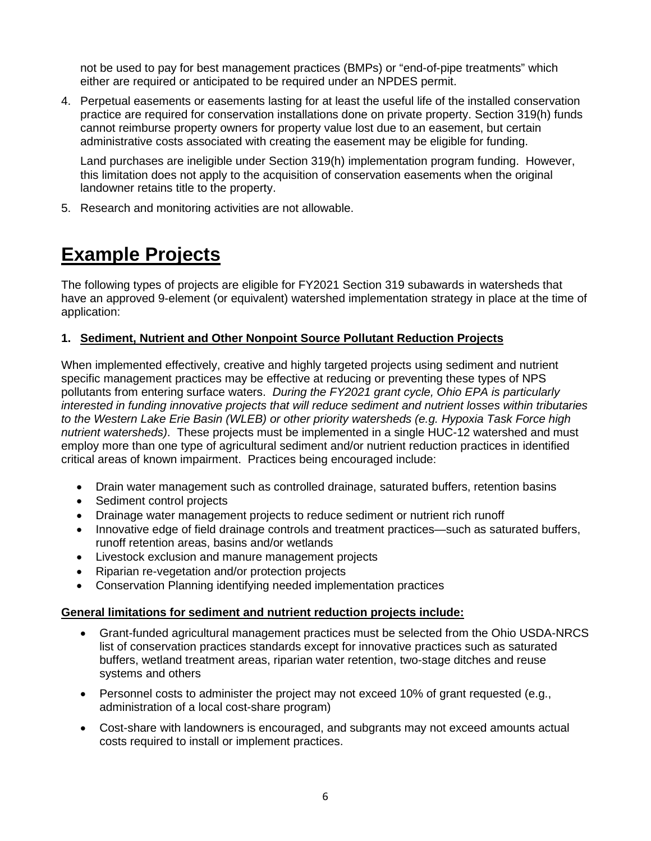not be used to pay for best management practices (BMPs) or "end-of-pipe treatments" which either are required or anticipated to be required under an NPDES permit.

4. Perpetual easements or easements lasting for at least the useful life of the installed conservation practice are required for conservation installations done on private property. Section 319(h) funds cannot reimburse property owners for property value lost due to an easement, but certain administrative costs associated with creating the easement may be eligible for funding.

Land purchases are ineligible under Section 319(h) implementation program funding. However, this limitation does not apply to the acquisition of conservation easements when the original landowner retains title to the property.

5. Research and monitoring activities are not allowable.

# **Example Projects**

The following types of projects are eligible for FY2021 Section 319 subawards in watersheds that have an approved 9-element (or equivalent) watershed implementation strategy in place at the time of application:

# **1. Sediment, Nutrient and Other Nonpoint Source Pollutant Reduction Projects**

When implemented effectively, creative and highly targeted projects using sediment and nutrient specific management practices may be effective at reducing or preventing these types of NPS pollutants from entering surface waters. *During the FY2021 grant cycle, Ohio EPA is particularly interested in funding innovative projects that will reduce sediment and nutrient losses within tributaries to the Western Lake Erie Basin (WLEB) or other priority watersheds (e.g. Hypoxia Task Force high nutrient watersheds)*. These projects must be implemented in a single HUC-12 watershed and must employ more than one type of agricultural sediment and/or nutrient reduction practices in identified critical areas of known impairment. Practices being encouraged include:

- Drain water management such as controlled drainage, saturated buffers, retention basins
- Sediment control projects
- Drainage water management projects to reduce sediment or nutrient rich runoff
- Innovative edge of field drainage controls and treatment practices—such as saturated buffers, runoff retention areas, basins and/or wetlands
- Livestock exclusion and manure management projects
- Riparian re-vegetation and/or protection projects
- Conservation Planning identifying needed implementation practices

#### **General limitations for sediment and nutrient reduction projects include:**

- Grant-funded agricultural management practices must be selected from the Ohio USDA-NRCS list of conservation practices standards except for innovative practices such as saturated buffers, wetland treatment areas, riparian water retention, two-stage ditches and reuse systems and others
- Personnel costs to administer the project may not exceed 10% of grant requested (e.g., administration of a local cost-share program)
- Cost-share with landowners is encouraged, and subgrants may not exceed amounts actual costs required to install or implement practices.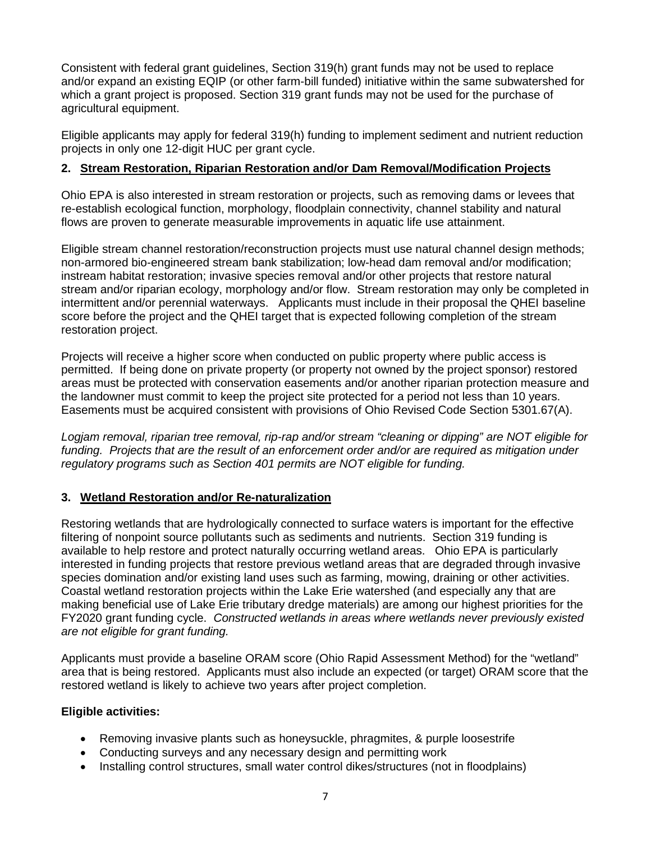Consistent with federal grant guidelines, Section 319(h) grant funds may not be used to replace and/or expand an existing EQIP (or other farm-bill funded) initiative within the same subwatershed for which a grant project is proposed. Section 319 grant funds may not be used for the purchase of agricultural equipment.

Eligible applicants may apply for federal 319(h) funding to implement sediment and nutrient reduction projects in only one 12-digit HUC per grant cycle.

#### **2. Stream Restoration, Riparian Restoration and/or Dam Removal/Modification Projects**

Ohio EPA is also interested in stream restoration or projects, such as removing dams or levees that re-establish ecological function, morphology, floodplain connectivity, channel stability and natural flows are proven to generate measurable improvements in aquatic life use attainment.

Eligible stream channel restoration/reconstruction projects must use natural channel design methods; non-armored bio-engineered stream bank stabilization; low-head dam removal and/or modification; instream habitat restoration; invasive species removal and/or other projects that restore natural stream and/or riparian ecology, morphology and/or flow. Stream restoration may only be completed in intermittent and/or perennial waterways. Applicants must include in their proposal the QHEI baseline score before the project and the QHEI target that is expected following completion of the stream restoration project.

Projects will receive a higher score when conducted on public property where public access is permitted. If being done on private property (or property not owned by the project sponsor) restored areas must be protected with conservation easements and/or another riparian protection measure and the landowner must commit to keep the project site protected for a period not less than 10 years. Easements must be acquired consistent with provisions of Ohio Revised Code Section 5301.67(A).

*Logjam removal, riparian tree removal, rip-rap and/or stream "cleaning or dipping" are NOT eligible for funding. Projects that are the result of an enforcement order and/or are required as mitigation under regulatory programs such as Section 401 permits are NOT eligible for funding.* 

#### **3. Wetland Restoration and/or Re-naturalization**

Restoring wetlands that are hydrologically connected to surface waters is important for the effective filtering of nonpoint source pollutants such as sediments and nutrients. Section 319 funding is available to help restore and protect naturally occurring wetland areas. Ohio EPA is particularly interested in funding projects that restore previous wetland areas that are degraded through invasive species domination and/or existing land uses such as farming, mowing, draining or other activities. Coastal wetland restoration projects within the Lake Erie watershed (and especially any that are making beneficial use of Lake Erie tributary dredge materials) are among our highest priorities for the FY2020 grant funding cycle. *Constructed wetlands in areas where wetlands never previously existed are not eligible for grant funding.*

Applicants must provide a baseline ORAM score (Ohio Rapid Assessment Method) for the "wetland" area that is being restored. Applicants must also include an expected (or target) ORAM score that the restored wetland is likely to achieve two years after project completion.

#### **Eligible activities:**

- Removing invasive plants such as honeysuckle, phragmites, & purple loosestrife
- Conducting surveys and any necessary design and permitting work
- Installing control structures, small water control dikes/structures (not in floodplains)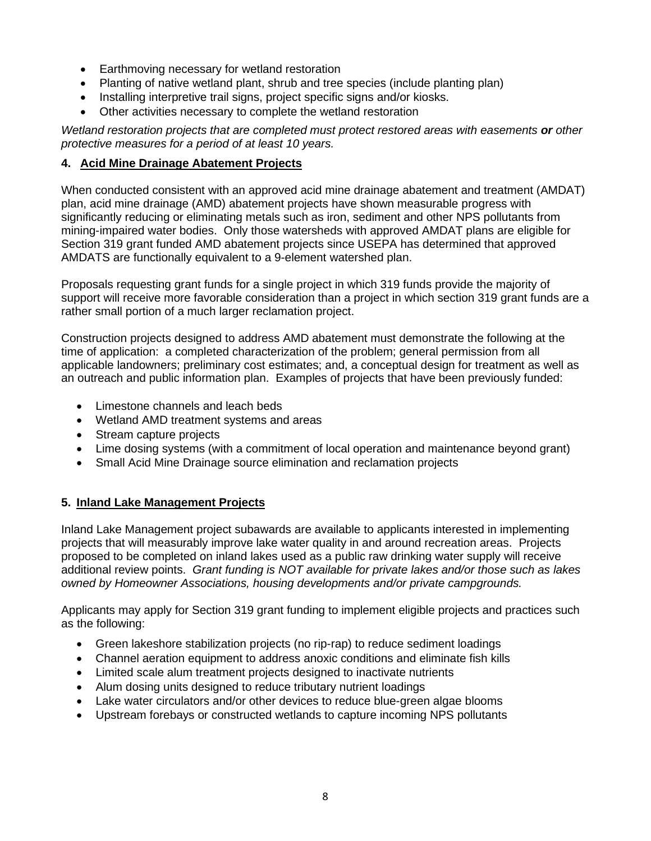- Earthmoving necessary for wetland restoration
- Planting of native wetland plant, shrub and tree species (include planting plan)
- Installing interpretive trail signs, project specific signs and/or kiosks.
- Other activities necessary to complete the wetland restoration

*Wetland restoration projects that are completed must protect restored areas with easements or other protective measures for a period of at least 10 years.*

# **4. Acid Mine Drainage Abatement Projects**

When conducted consistent with an approved acid mine drainage abatement and treatment (AMDAT) plan, acid mine drainage (AMD) abatement projects have shown measurable progress with significantly reducing or eliminating metals such as iron, sediment and other NPS pollutants from mining-impaired water bodies. Only those watersheds with approved AMDAT plans are eligible for Section 319 grant funded AMD abatement projects since USEPA has determined that approved AMDATS are functionally equivalent to a 9-element watershed plan.

Proposals requesting grant funds for a single project in which 319 funds provide the majority of support will receive more favorable consideration than a project in which section 319 grant funds are a rather small portion of a much larger reclamation project.

Construction projects designed to address AMD abatement must demonstrate the following at the time of application: a completed characterization of the problem; general permission from all applicable landowners; preliminary cost estimates; and, a conceptual design for treatment as well as an outreach and public information plan. Examples of projects that have been previously funded:

- Limestone channels and leach beds
- Wetland AMD treatment systems and areas
- Stream capture projects
- Lime dosing systems (with a commitment of local operation and maintenance beyond grant)
- Small Acid Mine Drainage source elimination and reclamation projects

# **5. Inland Lake Management Projects**

Inland Lake Management project subawards are available to applicants interested in implementing projects that will measurably improve lake water quality in and around recreation areas. Projects proposed to be completed on inland lakes used as a public raw drinking water supply will receive additional review points. *Grant funding is NOT available for private lakes and/or those such as lakes owned by Homeowner Associations, housing developments and/or private campgrounds.* 

Applicants may apply for Section 319 grant funding to implement eligible projects and practices such as the following:

- Green lakeshore stabilization projects (no rip-rap) to reduce sediment loadings
- Channel aeration equipment to address anoxic conditions and eliminate fish kills
- Limited scale alum treatment projects designed to inactivate nutrients
- Alum dosing units designed to reduce tributary nutrient loadings
- Lake water circulators and/or other devices to reduce blue-green algae blooms
- Upstream forebays or constructed wetlands to capture incoming NPS pollutants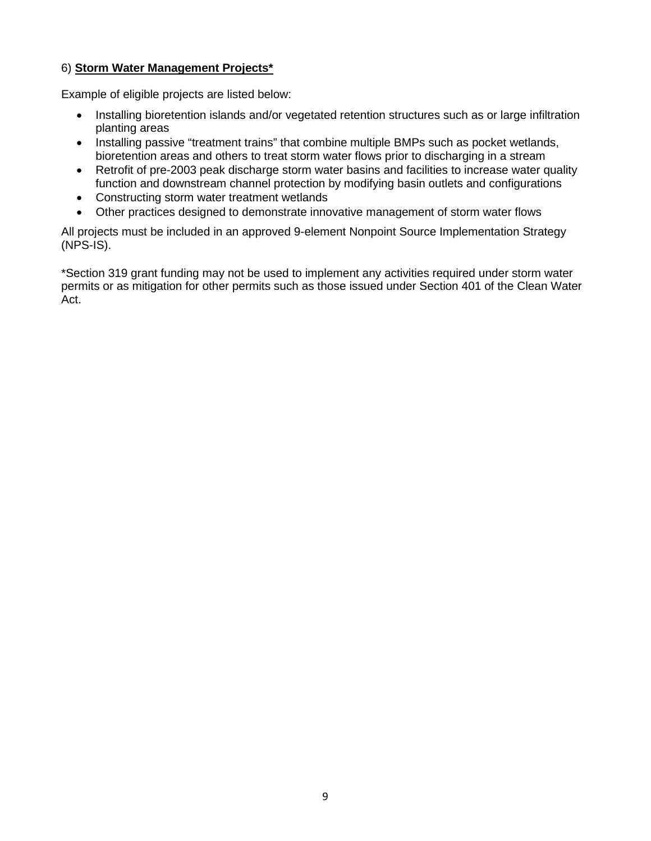### 6) **Storm Water Management Projects\***

Example of eligible projects are listed below:

- Installing bioretention islands and/or vegetated retention structures such as or large infiltration planting areas
- Installing passive "treatment trains" that combine multiple BMPs such as pocket wetlands, bioretention areas and others to treat storm water flows prior to discharging in a stream
- Retrofit of pre-2003 peak discharge storm water basins and facilities to increase water quality function and downstream channel protection by modifying basin outlets and configurations
- Constructing storm water treatment wetlands
- Other practices designed to demonstrate innovative management of storm water flows

All projects must be included in an approved 9-element Nonpoint Source Implementation Strategy (NPS-IS).

\*Section 319 grant funding may not be used to implement any activities required under storm water permits or as mitigation for other permits such as those issued under Section 401 of the Clean Water Act.